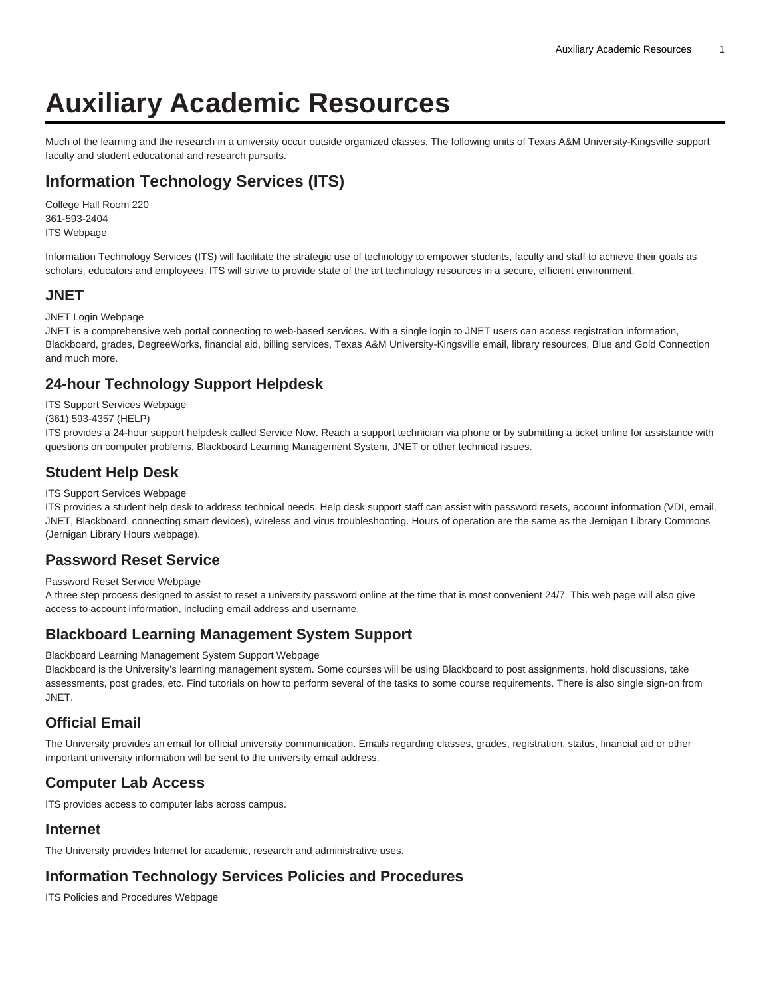# **Auxiliary Academic Resources**

Much of the learning and the research in a university occur outside organized classes. The following units of Texas A&M University-Kingsville support faculty and student educational and research pursuits.

## **Information Technology Services (ITS)**

College Hall Room 220 361-593-2404 [ITS Webpage](https://www.tamuk.edu/finance/its/)

Information Technology Services (ITS) will facilitate the strategic use of technology to empower students, faculty and staff to achieve their goals as scholars, educators and employees. ITS will strive to provide state of the art technology resources in a secure, efficient environment.

#### **JNET**

JNET Login Webpage

JNET is a comprehensive web portal connecting to web-based services. With a single login to JNET users can access registration information, Blackboard, grades, DegreeWorks, financial aid, billing services, Texas A&M University-Kingsville email, library resources, Blue and Gold Connection and much more.

## **24-hour Technology Support Helpdesk**

[ITS Support Services Webpage](https://www.tamuk.edu/finance/its/support/)

(361) 593-4357 (HELP)

ITS provides a 24-hour support helpdesk called Service Now. Reach a support technician via phone or by submitting a ticket online for assistance with questions on computer problems, Blackboard Learning Management System, JNET or other technical issues.

#### **Student Help Desk**

#### [ITS Support Services Webpage](https://www.tamuk.edu/finance/its/support/)

ITS provides a student help desk to address technical needs. Help desk support staff can assist with password resets, account information (VDI, email, JNET, Blackboard, connecting smart devices), wireless and virus troubleshooting. Hours of operation are the same as the Jernigan Library Commons ([Jernigan Library Hours webpage](http://lib.tamuk.edu/)).

#### **Password Reset Service**

[Password Reset Service Webpage](https://documents.tamuk.edu/acctmgmt/AccountManagement.aspx)

A three step process designed to assist to reset a university password online at the time that is most convenient 24/7. This web page will also give access to account information, including email address and username.

#### **Blackboard Learning Management System Support**

[Blackboard Learning Management System Support Webpage](http://www.tamuk.edu/distancelearning/supportservices.html)

Blackboard is the University's learning management system. Some courses will be using Blackboard to post assignments, hold discussions, take assessments, post grades, etc. Find tutorials on how to perform several of the tasks to some course requirements. There is also single sign-on from JNET.

#### **Official Email**

The University provides an email for official university communication. Emails regarding classes, grades, registration, status, financial aid or other important university information will be sent to the university email address.

#### **Computer Lab Access**

ITS provides access to computer labs across campus.

#### **Internet**

The University provides Internet for academic, research and administrative uses.

## **Information Technology Services Policies and Procedures**

[ITS Policies and Procedures Webpage](https://www.tamuk.edu/finance/its/policies/)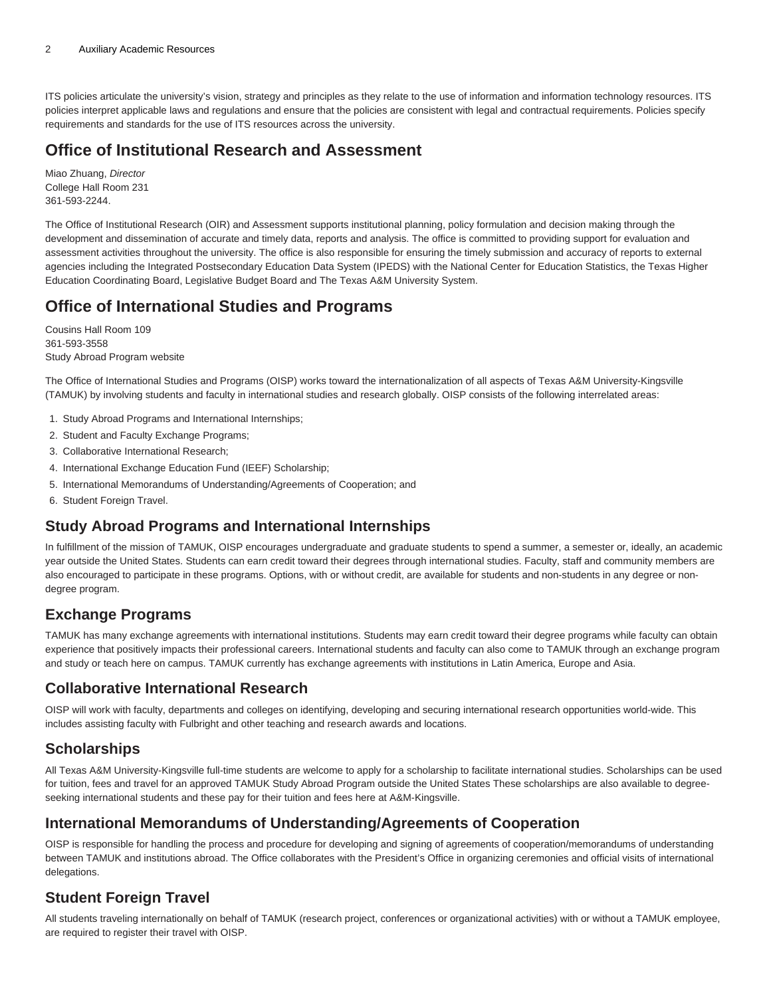ITS policies articulate the university's vision, strategy and principles as they relate to the use of information and information technology resources. ITS policies interpret applicable laws and regulations and ensure that the policies are consistent with legal and contractual requirements. Policies specify requirements and standards for the use of ITS resources across the university.

## **Office of Institutional Research and Assessment**

Miao Zhuang, Director College Hall Room 231 361-593-2244.

The Office of Institutional Research (OIR) and Assessment supports institutional planning, policy formulation and decision making through the development and dissemination of accurate and timely data, reports and analysis. The office is committed to providing support for evaluation and assessment activities throughout the university. The office is also responsible for ensuring the timely submission and accuracy of reports to external agencies including the Integrated Postsecondary Education Data System (IPEDS) with the National Center for Education Statistics, the Texas Higher Education Coordinating Board, Legislative Budget Board and The Texas A&M University System.

## **Office of International Studies and Programs**

Cousins Hall Room 109 361-593-3558 [Study Abroad Program](http://www.tamuk.edu/intpro/) website

The Office of International Studies and Programs (OISP) works toward the internationalization of all aspects of Texas A&M University-Kingsville (TAMUK) by involving students and faculty in international studies and research globally. OISP consists of the following interrelated areas:

- 1. Study Abroad Programs and International Internships;
- 2. Student and Faculty Exchange Programs;
- 3. Collaborative International Research;
- 4. International Exchange Education Fund (IEEF) Scholarship;
- 5. International Memorandums of Understanding/Agreements of Cooperation; and
- 6. Student Foreign Travel.

## **Study Abroad Programs and International Internships**

In fulfillment of the mission of TAMUK, OISP encourages undergraduate and graduate students to spend a summer, a semester or, ideally, an academic year outside the United States. Students can earn credit toward their degrees through international studies. Faculty, staff and community members are also encouraged to participate in these programs. Options, with or without credit, are available for students and non-students in any degree or nondegree program.

## **Exchange Programs**

TAMUK has many exchange agreements with international institutions. Students may earn credit toward their degree programs while faculty can obtain experience that positively impacts their professional careers. International students and faculty can also come to TAMUK through an exchange program and study or teach here on campus. TAMUK currently has exchange agreements with institutions in Latin America, Europe and Asia.

#### **Collaborative International Research**

OISP will work with faculty, departments and colleges on identifying, developing and securing international research opportunities world-wide. This includes assisting faculty with Fulbright and other teaching and research awards and locations.

#### **Scholarships**

All Texas A&M University-Kingsville full-time students are welcome to apply for a scholarship to facilitate international studies. Scholarships can be used for tuition, fees and travel for an approved TAMUK Study Abroad Program outside the United States These scholarships are also available to degreeseeking international students and these pay for their tuition and fees here at A&M-Kingsville.

#### **International Memorandums of Understanding/Agreements of Cooperation**

OISP is responsible for handling the process and procedure for developing and signing of agreements of cooperation/memorandums of understanding between TAMUK and institutions abroad. The Office collaborates with the President's Office in organizing ceremonies and official visits of international delegations.

## **Student Foreign Travel**

All students traveling internationally on behalf of TAMUK (research project, conferences or organizational activities) with or without a TAMUK employee, are required to register their travel with OISP.